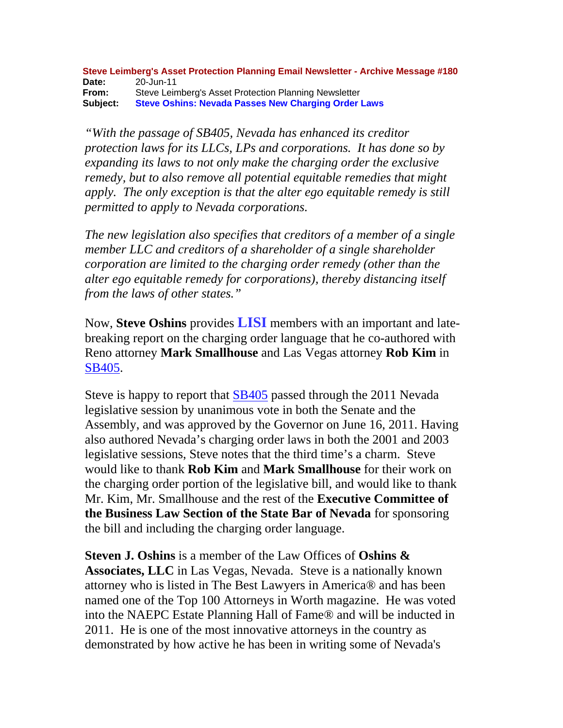**Steve Leimberg's Asset Protection Planning Email Newsletter - Archive Message #180 Date:** 20-Jun-11 **From:** Steve Leimberg's Asset Protection Planning Newsletter **Subject: Steve Oshins: Nevada Passes New Charging Order Laws**

*"With the passage of SB405, Nevada has enhanced its creditor protection laws for its LLCs, LPs and corporations. It has done so by expanding its laws to not only make the charging order the exclusive remedy, but to also remove all potential equitable remedies that might apply. The only exception is that the alter ego equitable remedy is still permitted to apply to Nevada corporations.*

*The new legislation also specifies that creditors of a member of a single member LLC and creditors of a shareholder of a single shareholder corporation are limited to the charging order remedy (other than the alter ego equitable remedy for corporations), thereby distancing itself from the laws of other states."*

Now, **Steve Oshins** provides **LISI** members with an important and latebreaking report on the charging order language that he co-authored with Reno attorney **Mark Smallhouse** and Las Vegas attorney **Rob Kim** in SB405.

Steve is happy to report that SB405 passed through the 2011 Nevada legislative session by unanimous vote in both the Senate and the Assembly, and was approved by the Governor on June 16, 2011. Having also authored Nevada's charging order laws in both the 2001 and 2003 legislative sessions, Steve notes that the third time's a charm. Steve would like to thank **Rob Kim** and **Mark Smallhouse** for their work on the charging order portion of the legislative bill, and would like to thank Mr. Kim, Mr. Smallhouse and the rest of the **Executive Committee of the Business Law Section of the State Bar of Nevada** for sponsoring the bill and including the charging order language.

**Steven J. Oshins** is a member of the Law Offices of **Oshins & Associates, LLC** in Las Vegas, Nevada. Steve is a nationally known attorney who is listed in The Best Lawyers in America® and has been named one of the Top 100 Attorneys in Worth magazine. He was voted into the NAEPC Estate Planning Hall of Fame® and will be inducted in 2011. He is one of the most innovative attorneys in the country as demonstrated by how active he has been in writing some of Nevada's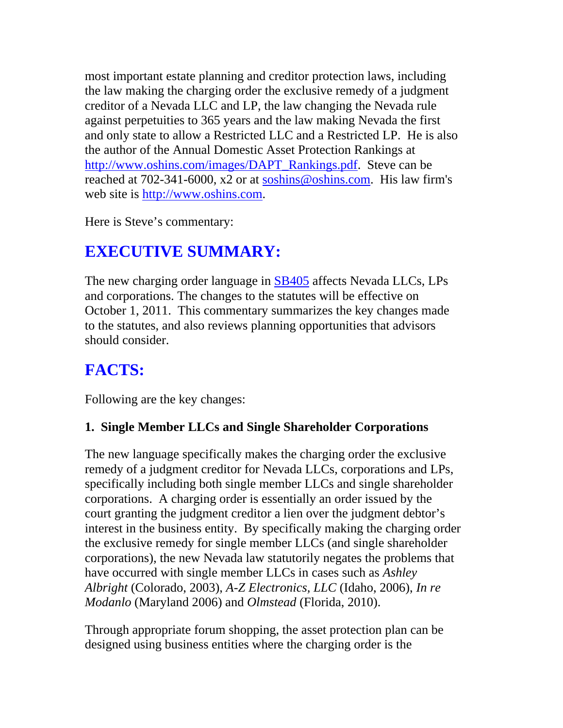most important estate planning and creditor protection laws, including the law making the charging order the exclusive remedy of a judgment creditor of a Nevada LLC and LP, the law changing the Nevada rule against perpetuities to 365 years and the law making Nevada the first and only state to allow a Restricted LLC and a Restricted LP. He is also the author of the Annual Domestic Asset Protection Rankings at http://www.oshins.com/images/DAPT\_Rankings.pdf. Steve can be reached at 702-341-6000, x2 or at soshins@oshins.com. His law firm's web site is http://www.oshins.com.

Here is Steve's commentary:

# **EXECUTIVE SUMMARY:**

The new charging order language in **SB405** affects Nevada LLCs, LPs and corporations. The changes to the statutes will be effective on October 1, 2011. This commentary summarizes the key changes made to the statutes, and also reviews planning opportunities that advisors should consider.

# **FACTS:**

Following are the key changes:

#### **1. Single Member LLCs and Single Shareholder Corporations**

The new language specifically makes the charging order the exclusive remedy of a judgment creditor for Nevada LLCs, corporations and LPs, specifically including both single member LLCs and single shareholder corporations. A charging order is essentially an order issued by the court granting the judgment creditor a lien over the judgment debtor's interest in the business entity. By specifically making the charging order the exclusive remedy for single member LLCs (and single shareholder corporations), the new Nevada law statutorily negates the problems that have occurred with single member LLCs in cases such as *Ashley Albright* (Colorado, 2003), *A-Z Electronics, LLC* (Idaho, 2006), *In re Modanlo* (Maryland 2006) and *Olmstead* (Florida, 2010).

Through appropriate forum shopping, the asset protection plan can be designed using business entities where the charging order is the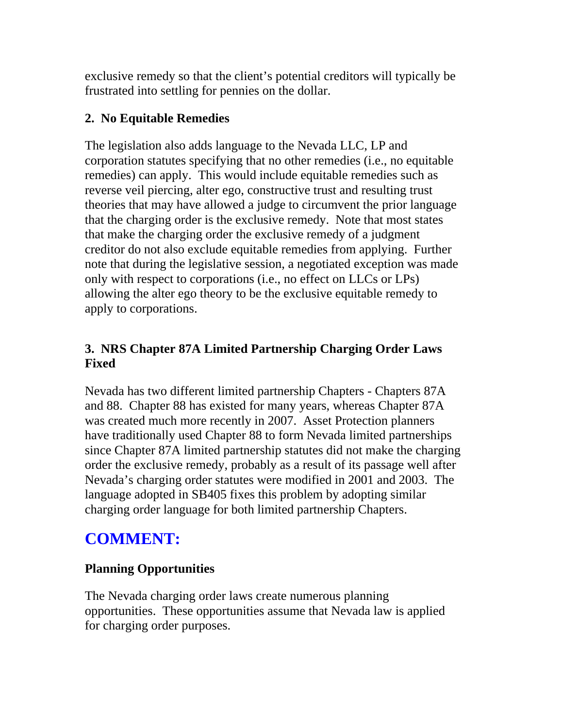exclusive remedy so that the client's potential creditors will typically be frustrated into settling for pennies on the dollar.

#### **2. No Equitable Remedies**

The legislation also adds language to the Nevada LLC, LP and corporation statutes specifying that no other remedies (i.e., no equitable remedies) can apply. This would include equitable remedies such as reverse veil piercing, alter ego, constructive trust and resulting trust theories that may have allowed a judge to circumvent the prior language that the charging order is the exclusive remedy. Note that most states that make the charging order the exclusive remedy of a judgment creditor do not also exclude equitable remedies from applying. Further note that during the legislative session, a negotiated exception was made only with respect to corporations (i.e., no effect on LLCs or LPs) allowing the alter ego theory to be the exclusive equitable remedy to apply to corporations.

#### **3. NRS Chapter 87A Limited Partnership Charging Order Laws Fixed**

Nevada has two different limited partnership Chapters - Chapters 87A and 88. Chapter 88 has existed for many years, whereas Chapter 87A was created much more recently in 2007. Asset Protection planners have traditionally used Chapter 88 to form Nevada limited partnerships since Chapter 87A limited partnership statutes did not make the charging order the exclusive remedy, probably as a result of its passage well after Nevada's charging order statutes were modified in 2001 and 2003. The language adopted in SB405 fixes this problem by adopting similar charging order language for both limited partnership Chapters.

# **COMMENT:**

#### **Planning Opportunities**

The Nevada charging order laws create numerous planning opportunities. These opportunities assume that Nevada law is applied for charging order purposes.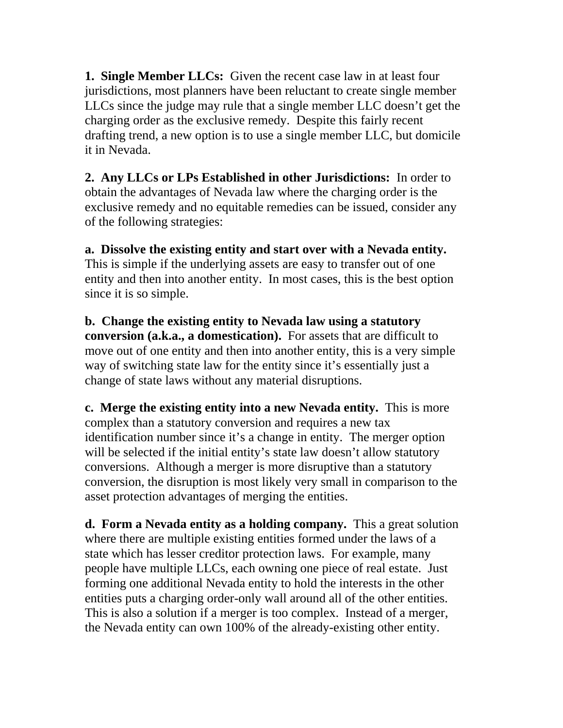**1. Single Member LLCs:** Given the recent case law in at least four jurisdictions, most planners have been reluctant to create single member LLCs since the judge may rule that a single member LLC doesn't get the charging order as the exclusive remedy. Despite this fairly recent drafting trend, a new option is to use a single member LLC, but domicile it in Nevada.

**2. Any LLCs or LPs Established in other Jurisdictions:** In order to obtain the advantages of Nevada law where the charging order is the exclusive remedy and no equitable remedies can be issued, consider any of the following strategies:

**a. Dissolve the existing entity and start over with a Nevada entity.** This is simple if the underlying assets are easy to transfer out of one entity and then into another entity. In most cases, this is the best option since it is so simple.

**b. Change the existing entity to Nevada law using a statutory conversion (a.k.a., a domestication).** For assets that are difficult to move out of one entity and then into another entity, this is a very simple way of switching state law for the entity since it's essentially just a change of state laws without any material disruptions.

**c. Merge the existing entity into a new Nevada entity.** This is more complex than a statutory conversion and requires a new tax identification number since it's a change in entity. The merger option will be selected if the initial entity's state law doesn't allow statutory conversions. Although a merger is more disruptive than a statutory conversion, the disruption is most likely very small in comparison to the asset protection advantages of merging the entities.

**d. Form a Nevada entity as a holding company.** This a great solution where there are multiple existing entities formed under the laws of a state which has lesser creditor protection laws. For example, many people have multiple LLCs, each owning one piece of real estate. Just forming one additional Nevada entity to hold the interests in the other entities puts a charging order-only wall around all of the other entities. This is also a solution if a merger is too complex. Instead of a merger, the Nevada entity can own 100% of the already-existing other entity.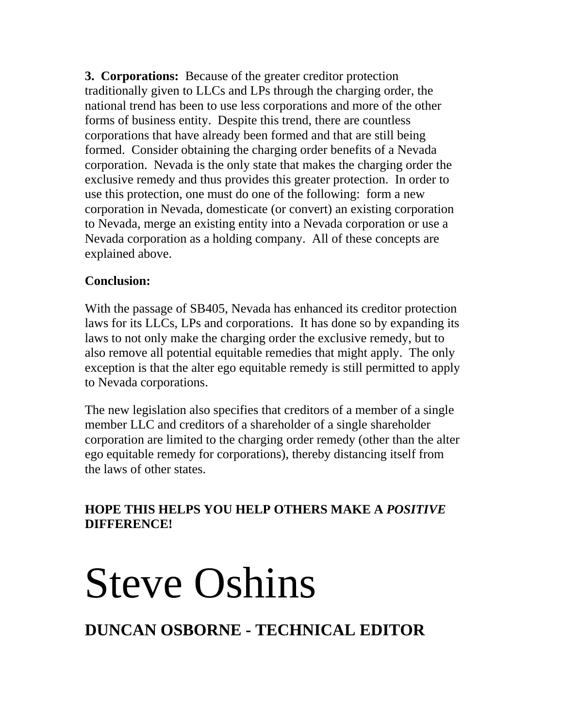**3. Corporations:** Because of the greater creditor protection traditionally given to LLCs and LPs through the charging order, the national trend has been to use less corporations and more of the other forms of business entity. Despite this trend, there are countless corporations that have already been formed and that are still being formed. Consider obtaining the charging order benefits of a Nevada corporation. Nevada is the only state that makes the charging order the exclusive remedy and thus provides this greater protection. In order to use this protection, one must do one of the following: form a new corporation in Nevada, domesticate (or convert) an existing corporation to Nevada, merge an existing entity into a Nevada corporation or use a Nevada corporation as a holding company. All of these concepts are explained above.

#### **Conclusion:**

With the passage of SB405, Nevada has enhanced its creditor protection laws for its LLCs, LPs and corporations. It has done so by expanding its laws to not only make the charging order the exclusive remedy, but to also remove all potential equitable remedies that might apply. The only exception is that the alter ego equitable remedy is still permitted to apply to Nevada corporations.

The new legislation also specifies that creditors of a member of a single member LLC and creditors of a shareholder of a single shareholder corporation are limited to the charging order remedy (other than the alter ego equitable remedy for corporations), thereby distancing itself from the laws of other states.

#### **HOPE THIS HELPS YOU HELP OTHERS MAKE A** *POSITIVE* **DIFFERENCE!**

# Steve Oshins

# **DUNCAN OSBORNE - TECHNICAL EDITOR**